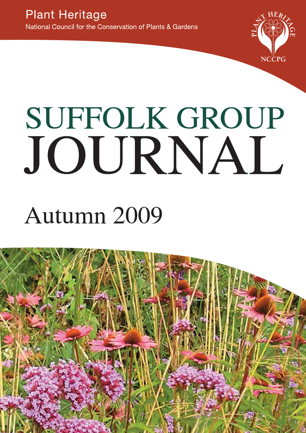

# **SUFFOLK GROUP** JOURNAL

## Autumn 2009

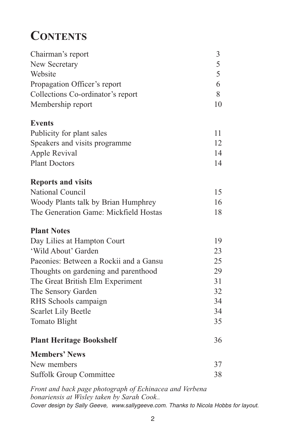### **CONTENTS**

| Chairman's report                      | 3  |
|----------------------------------------|----|
| New Secretary                          | 5  |
| Website                                | 5  |
| Propagation Officer's report           | 6  |
| Collections Co-ordinator's report      | 8  |
| Membership report                      | 10 |
| <b>Events</b>                          |    |
| Publicity for plant sales              | 11 |
| Speakers and visits programme          | 12 |
| Apple Revival                          | 14 |
| <b>Plant Doctors</b>                   | 14 |
| <b>Reports and visits</b>              |    |
| <b>National Council</b>                | 15 |
| Woody Plants talk by Brian Humphrey    | 16 |
| The Generation Game: Mickfield Hostas  | 18 |
| <b>Plant Notes</b>                     |    |
| Day Lilies at Hampton Court            | 19 |
| 'Wild About' Garden                    | 23 |
| Paeonies: Between a Rockii and a Gansu | 25 |
| Thoughts on gardening and parenthood   | 29 |
| The Great British Elm Experiment       | 31 |
| The Sensory Garden                     | 32 |
| RHS Schools campaign                   | 34 |
| <b>Scarlet Lily Beetle</b>             | 34 |
| Tomato Blight                          | 35 |
| <b>Plant Heritage Bookshelf</b>        | 36 |
| <b>Members' News</b>                   |    |
| New members                            | 37 |
| <b>Suffolk Group Committee</b>         | 38 |

*Front and back page photograph of Echinacea and Verbena bonariensis at Wisley taken by Sarah Cook..* Cover design by Sally Geeve, www.sallygeeve.com. Thanks to Nicola Hobbs for layout.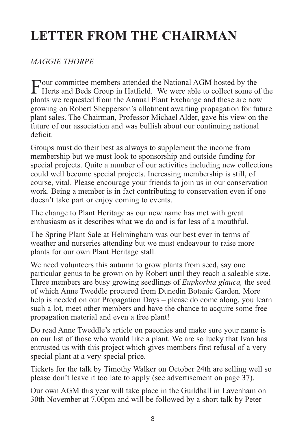### **LETTER FROM THE CHAIRMAN**

#### *MAGGIE THORPE*

Four committee members attended the National AGM hosted by the<br>Herts and Beds Group in Hatfield. We were able to collect some of the plants we requested from the Annual Plant Exchange and these are now growing on Robert Shepperson's allotment awaiting propagation for future plant sales. The Chairman, Professor Michael Alder, gave his view on the future of our association and was bullish about our continuing national deficit.

Groups must do their best as always to supplement the income from membership but we must look to sponsorship and outside funding for special projects. Quite a number of our activities including new collections could well become special projects. Increasing membership is still, of course, vital. Please encourage your friends to join us in our conservation work. Being a member is in fact contributing to conservation even if one doesn't take part or enjoy coming to events.

The change to Plant Heritage as our new name has met with great enthusiasm as it describes what we do and is far less of a mouthful.

The Spring Plant Sale at Helmingham was our best ever in terms of weather and nurseries attending but we must endeavour to raise more plants for our own Plant Heritage stall.

We need volunteers this autumn to grow plants from seed, say one particular genus to be grown on by Robert until they reach a saleable size. Three members are busy growing seedlings of *Euphorbia glauca,* the seed of which Anne Tweddle procured from Dunedin Botanic Garden. More help is needed on our Propagation Days – please do come along, you learn such a lot, meet other members and have the chance to acquire some free propagation material and even a free plant!

Do read Anne Tweddle's article on paeonies and make sure your name is on our list of those who would like a plant. We are so lucky that Ivan has entrusted us with this project which gives members first refusal of a very special plant at a very special price.

Tickets for the talk by Timothy Walker on October 24th are selling well so please don't leave it too late to apply (see advertisement on page 37).

Our own AGM this year will take place in the Guildhall in Lavenham on 30th November at 7.00pm and will be followed by a short talk by Peter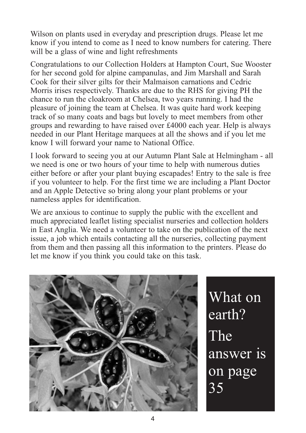Wilson on plants used in everyday and prescription drugs. Please let me know if you intend to come as I need to know numbers for catering. There will be a glass of wine and light refreshments

Congratulations to our Collection Holders at Hampton Court, Sue Wooster for her second gold for alpine campanulas, and Jim Marshall and Sarah Cook for their silver gilts for their Malmaison carnations and Cedric Morris irises respectively. Thanks are due to the RHS for giving PH the chance to run the cloakroom at Chelsea, two years running. I had the pleasure of joining the team at Chelsea. It was quite hard work keeping track of so many coats and bags but lovely to meet members from other groups and rewarding to have raised over £4000 each year. Help is always needed in our Plant Heritage marquees at all the shows and if you let me know I will forward your name to National Office.

I look forward to seeing you at our Autumn Plant Sale at Helmingham - all we need is one or two hours of your time to help with numerous duties either before or after your plant buying escapades! Entry to the sale is free if you volunteer to help. For the first time we are including a Plant Doctor and an Apple Detective so bring along your plant problems or your nameless apples for identification.

We are anxious to continue to supply the public with the excellent and much appreciated leaflet listing specialist nurseries and collection holders in East Anglia. We need a volunteer to take on the publication of the next issue, a job which entails contacting all the nurseries, collecting payment from them and then passing all this information to the printers. Please do let me know if you think you could take on this task.



What on earth? The answer is on page 35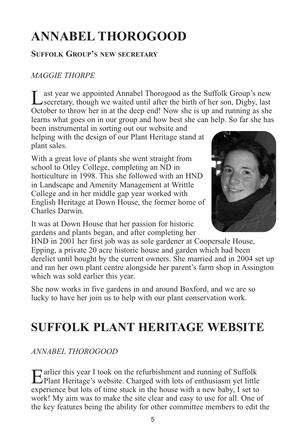### **ANNABEL THOROGOOD**

#### **SUFFOLK GROUP'S NEW SECRETARY**

#### *MAGGIE THORPE*

Last year we appointed Annabel Thorogood as the Suffolk Group's new<br>
Secretary, though we waited until after the birth of her son, Digby, last October to throw her in at the deep end! Now she is up and running as she learns what goes on in our group and how best she can help. So far she has

been instrumental in sorting out our website and helping with the design of our Plant Heritage stand at plant sales.

With a great love of plants she went straight from school to Otley College, completing an ND in horticulture in 1998. This she followed with an HND in Landscape and Amenity Management at Writtle College and in her middle gap year worked with English Heritage at Down House, the former home of Charles Darwin.

It was at Down House that her passion for historic gardens and plants began, and after completing her



HND in 2001 her first job was as sole gardener at Coopersale House, Epping, a private 20 acre historic house and garden which had been derelict until bought by the current owners. She married and in 2004 set up and ran her own plant centre alongside her parent's farm shop in Assington which was sold earlier this year.

She now works in five gardens in and around Boxford, and we are so lucky to have her join us to help with our plant conservation work.

### **SUFFOLK PLANT HERITAGE WEBSITE**

*ANNABEL THOROGOOD*

Earlier this year I took on the refurbishment and running of Suffolk Plant Heritage's website. Charged with lots of enthusiasm yet little experience but lots of time stuck in the house with a new baby, I set to work! My aim was to make the site clear and easy to use for all. One of the key features being the ability for other committee members to edit the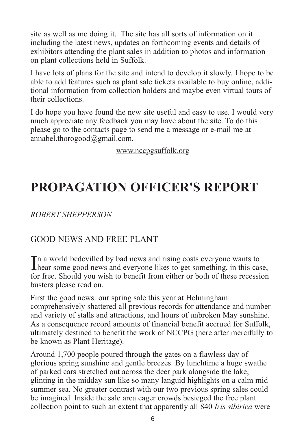site as well as me doing it. The site has all sorts of information on it including the latest news, updates on forthcoming events and details of exhibitors attending the plant sales in addition to photos and information on plant collections held in Suffolk.

I have lots of plans for the site and intend to develop it slowly. I hope to be able to add features such as plant sale tickets available to buy online, additional information from collection holders and maybe even virtual tours of their collections.

I do hope you have found the new site useful and easy to use. I would very much appreciate any feedback you may have about the site. To do this please go to the contacts page to send me a message or e-mail me at annabel.thorogood@gmail.com.

www.nccpgsuffolk.org

### **PROPAGATION OFFICER'S REPORT**

*ROBERT SHEPPERSON*

### GOOD NEWS AND FREE PLANT

In a world bedevilled by bad news and rising costs everyone wants to hear some good news and everyone likes to get something, in this can **Thear some good news and everyone likes to get something, in this case,** for free. Should you wish to benefit from either or both of these recession busters please read on.

First the good news: our spring sale this year at Helmingham comprehensively shattered all previous records for attendance and number and variety of stalls and attractions, and hours of unbroken May sunshine. As a consequence record amounts of financial benefit accrued for Suffolk, ultimately destined to benefit the work of NCCPG (here after mercifully to be known as Plant Heritage).

Around 1,700 people poured through the gates on a flawless day of glorious spring sunshine and gentle breezes. By lunchtime a huge swathe of parked cars stretched out across the deer park alongside the lake, glinting in the midday sun like so many languid highlights on a calm mid summer sea. No greater contrast with our two previous spring sales could be imagined. Inside the sale area eager crowds besieged the free plant collection point to such an extent that apparently all 840 *Iris sibirica* were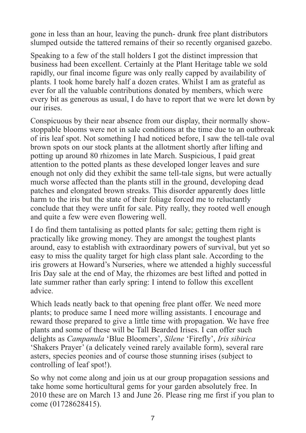gone in less than an hour, leaving the punch- drunk free plant distributors slumped outside the tattered remains of their so recently organised gazebo.

Speaking to a few of the stall holders I got the distinct impression that business had been excellent. Certainly at the Plant Heritage table we sold rapidly, our final income figure was only really capped by availability of plants. I took home barely half a dozen crates. Whilst I am as grateful as ever for all the valuable contributions donated by members, which were every bit as generous as usual, I do have to report that we were let down by our irises.

Conspicuous by their near absence from our display, their normally showstoppable blooms were not in sale conditions at the time due to an outbreak of iris leaf spot. Not something I had noticed before, I saw the tell-tale oval brown spots on our stock plants at the allotment shortly after lifting and potting up around 80 rhizomes in late March. Suspicious, I paid great attention to the potted plants as these developed longer leaves and sure enough not only did they exhibit the same tell-tale signs, but were actually much worse affected than the plants still in the ground, developing dead patches and elongated brown streaks. This disorder apparently does little harm to the iris but the state of their foliage forced me to reluctantly conclude that they were unfit for sale. Pity really, they rooted well enough and quite a few were even flowering well.

I do find them tantalising as potted plants for sale; getting them right is practically like growing money. They are amongst the toughest plants around, easy to establish with extraordinary powers of survival, but yet so easy to miss the quality target for high class plant sale. According to the iris growers at Howard's Nurseries, where we attended a highly successful Iris Day sale at the end of May, the rhizomes are best lifted and potted in late summer rather than early spring: I intend to follow this excellent advice.

Which leads neatly back to that opening free plant offer. We need more plants; to produce same I need more willing assistants. I encourage and reward those prepared to give a little time with propagation. We have free plants and some of these will be Tall Bearded Irises. I can offer such delights as *Campanula* 'Blue Bloomers', *Silene* 'Firefly', *Iris sibirica* 'Shakers Prayer' (a delicately veined rarely available form), several rare asters, species peonies and of course those stunning irises (subject to controlling of leaf spot!).

So why not come along and join us at our group propagation sessions and take home some horticultural gems for your garden absolutely free. In 2010 these are on March 13 and June 26. Please ring me first if you plan to come (01728628415).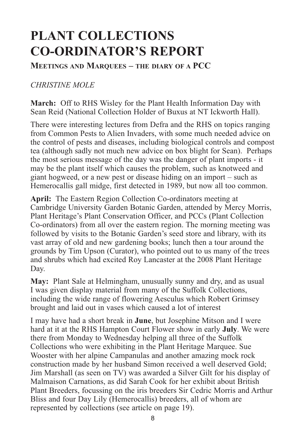### **PLANT COLLECTIONS CO-ORDINATOR'S REPORT**

**MEETINGS AND MARQUEES – THE DIARY OF A PCC**

#### *CHRISTINE MOLE*

**March:** Off to RHS Wisley for the Plant Health Information Day with Sean Reid (National Collection Holder of Buxus at NT Ickworth Hall).

There were interesting lectures from Defra and the RHS on topics ranging from Common Pests to Alien Invaders, with some much needed advice on the control of pests and diseases, including biological controls and compost tea (although sadly not much new advice on box blight for Sean). Perhaps the most serious message of the day was the danger of plant imports - it may be the plant itself which causes the problem, such as knotweed and giant hogweed, or a new pest or disease hiding on an import – such as Hemerocallis gall midge, first detected in 1989, but now all too common.

**April:** The Eastern Region Collection Co-ordinators meeting at Cambridge University Garden Botanic Garden, attended by Mercy Morris, Plant Heritage's Plant Conservation Officer, and PCCs (Plant Collection Co-ordinators) from all over the eastern region. The morning meeting was followed by visits to the Botanic Garden's seed store and library, with its vast array of old and new gardening books; lunch then a tour around the grounds by Tim Upson (Curator), who pointed out to us many of the trees and shrubs which had excited Roy Lancaster at the 2008 Plant Heritage Day.

**May:** Plant Sale at Helmingham, unusually sunny and dry, and as usual I was given display material from many of the Suffolk Collections, including the wide range of flowering Aesculus which Robert Grimsey brought and laid out in vases which caused a lot of interest

I may have had a short break in **June**, but Josephine Mitson and I were hard at it at the RHS Hampton Court Flower show in early **July**. We were there from Monday to Wednesday helping all three of the Suffolk Collections who were exhibiting in the Plant Heritage Marquee. Sue Wooster with her alpine Campanulas and another amazing mock rock construction made by her husband Simon received a well deserved Gold; Jim Marshall (as seen on TV) was awarded a Silver Gilt for his display of Malmaison Carnations, as did Sarah Cook for her exhibit about British Plant Breeders, focussing on the iris breeders Sir Cedric Morris and Arthur Bliss and four Day Lily (Hemerocallis) breeders, all of whom are represented by collections (see article on page 19).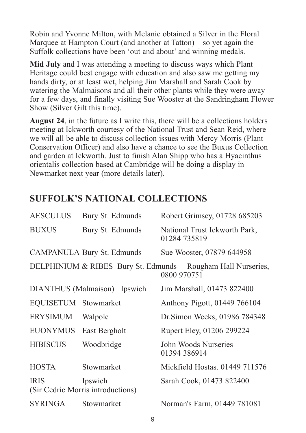Robin and Yvonne Milton, with Melanie obtained a Silver in the Floral Marquee at Hampton Court (and another at Tatton) – so yet again the Suffolk collections have been 'out and about' and winning medals.

**Mid July** and I was attending a meeting to discuss ways which Plant Heritage could best engage with education and also saw me getting my hands dirty, or at least wet, helping Jim Marshall and Sarah Cook by watering the Malmaisons and all their other plants while they were away for a few days, and finally visiting Sue Wooster at the Sandringham Flower Show (Silver Gilt this time).

**August 24**, in the future as I write this, there will be a collections holders meeting at Ickworth courtesy of the National Trust and Sean Reid, where we will all be able to discuss collection issues with Mercy Morris (Plant Conservation Officer) and also have a chance to see the Buxus Collection and garden at Ickworth. Just to finish Alan Shipp who has a Hyacinthus orientalis collection based at Cambridge will be doing a display in Newmarket next year (more details later).

### **SUFFOLK'S NATIONAL COLLECTIONS**

| <b>AESCULUS</b>      | Bury St. Edmunds                             | Robert Grimsey, 01728 685203                                               |
|----------------------|----------------------------------------------|----------------------------------------------------------------------------|
| <b>BUXUS</b>         | Bury St. Edmunds                             | National Trust Ickworth Park,<br>01284 735819                              |
|                      | CAMPANULA Bury St. Edmunds                   | Sue Wooster, 07879 644958                                                  |
|                      |                                              | DELPHINIUM & RIBES Bury St. Edmunds Rougham Hall Nurseries,<br>0800 970751 |
|                      | DIANTHUS (Malmaison) Ipswich                 | Jim Marshall, 01473 822400                                                 |
| EQUISETUM Stowmarket |                                              | Anthony Pigott, 01449 766104                                               |
| <b>ERYSIMUM</b>      | Walpole                                      | Dr. Simon Weeks, 01986 784348                                              |
| <b>EUONYMUS</b>      | East Bergholt                                | Rupert Eley, 01206 299224                                                  |
| <b>HIBISCUS</b>      | Woodbridge                                   | John Woods Nurseries<br>01394 386914                                       |
| <b>HOSTA</b>         | Stowmarket                                   | Mickfield Hostas. 01449 711576                                             |
| <b>IRIS</b>          | Ipswich<br>(Sir Cedric Morris introductions) | Sarah Cook, 01473 822400                                                   |
| <b>SYRINGA</b>       | Stowmarket                                   | Norman's Farm, 01449 781081                                                |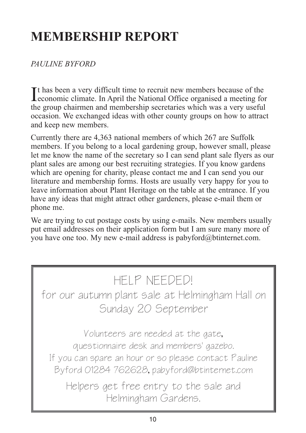### **MEMBERSHIP REPORT**

#### *PAULINE BYFORD*

It has been a very difficult time to recruit new members because of the economic climate. In April the National Office organised a meeting for **L**economic climate. In April the National Office organised a meeting for the group chairmen and membership secretaries which was a very useful occasion. We exchanged ideas with other county groups on how to attract and keep new members.

Currently there are 4,363 national members of which 267 are Suffolk members. If you belong to a local gardening group, however small, please let me know the name of the secretary so I can send plant sale flyers as our plant sales are among our best recruiting strategies. If you know gardens which are opening for charity, please contact me and I can send you our literature and membership forms. Hosts are usually very happy for you to leave information about Plant Heritage on the table at the entrance. If you have any ideas that might attract other gardeners, please e-mail them or phone me.

We are trying to cut postage costs by using e-mails. New members usually put email addresses on their application form but I am sure many more of you have one too. My new e-mail address is pabyford@btinternet.com.

### HELP NEEDED!

for our autumn plant sale at Helmingham Hall on Sunday 20 September

Volunteers are needed at the gate, questionnaire desk and members' gazebo. If you can spare an hour or so please contact Pauline Byford 01284 762628, pabyford@btinternet.com

Helpers get free entry to the sale and Helmingham Gardens.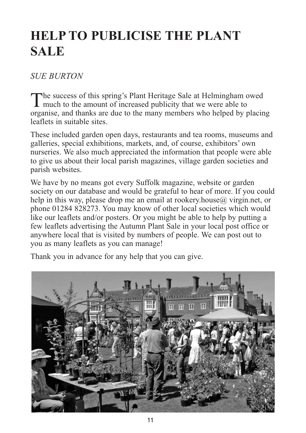### **HELP TO PUBLICISE THE PLANT SALE**

#### *SUE BURTON*

The success of this spring's Plant Heritage Sale at Helmingham owed **1** much to the amount of increased publicity that we were able to organise, and thanks are due to the many members who helped by placing leaflets in suitable sites.

These included garden open days, restaurants and tea rooms, museums and galleries, special exhibitions, markets, and, of course, exhibitors' own nurseries. We also much appreciated the information that people were able to give us about their local parish magazines, village garden societies and parish websites.

We have by no means got every Suffolk magazine, website or garden society on our database and would be grateful to hear of more. If you could help in this way, please drop me an email at rookery.house $\omega$  virgin.net, or phone 01284 828273. You may know of other local societies which would like our leaflets and/or posters. Or you might be able to help by putting a few leaflets advertising the Autumn Plant Sale in your local post office or anywhere local that is visited by numbers of people. We can post out to you as many leaflets as you can manage!

Thank you in advance for any help that you can give.

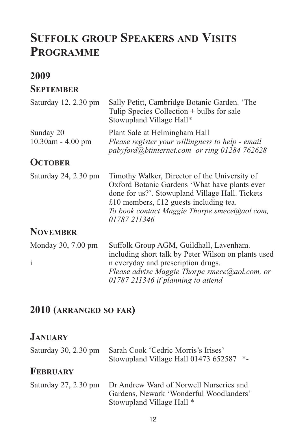### **SUFFOLK GROUP SPEAKERS AND VISITS PROGRAMME**

### **2009**

#### **SEPTEMBER**

| Saturday 12, 2.30 pm           | Sally Petitt, Cambridge Botanic Garden. 'The<br>Tulip Species Collection + bulbs for sale<br>Stowupland Village Hall*                                                                                                                                       |
|--------------------------------|-------------------------------------------------------------------------------------------------------------------------------------------------------------------------------------------------------------------------------------------------------------|
| Sunday 20<br>10.30am - 4.00 pm | Plant Sale at Helmingham Hall<br>Please register your willingness to help - email<br>pabyford@btinternet.com or ring 01284 762628                                                                                                                           |
| <b>OCTOBER</b>                 |                                                                                                                                                                                                                                                             |
| Saturday 24, 2.30 pm           | Timothy Walker, Director of the University of<br>Oxford Botanic Gardens 'What have plants ever<br>done for us?'. Stowupland Village Hall. Tickets<br>£10 members, £12 guests including tea.<br>To book contact Maggie Thorpe smece@aol.com,<br>01787 211346 |
| <b>NOVEMBER</b>                |                                                                                                                                                                                                                                                             |
| Monday 30, 7.00 pm             | Suffolk Group AGM, Guildhall, Lavenham.<br>including short talk by Peter Wilson on plants used                                                                                                                                                              |
| $\mathbf{i}$                   | n everyday and prescription drugs.<br>Please advise Maggie Thorpe smece@aol.com, or                                                                                                                                                                         |

*01787 211346 if planning to attend*

### **2010 (ARRANGED SO FAR)**

### **JANUARY**

| Saturday 30, 2.30 pm   | Sarah Cook 'Cedric Morris's Irises'<br>Stowupland Village Hall 01473 652587                                     | $*_{-}$ |
|------------------------|-----------------------------------------------------------------------------------------------------------------|---------|
| <b>FEBRUARY</b>        |                                                                                                                 |         |
| Saturday $27, 2.30$ pm | Dr Andrew Ward of Norwell Nurseries and<br>Gardens, Newark 'Wonderful Woodlanders'<br>Stowupland Village Hall * |         |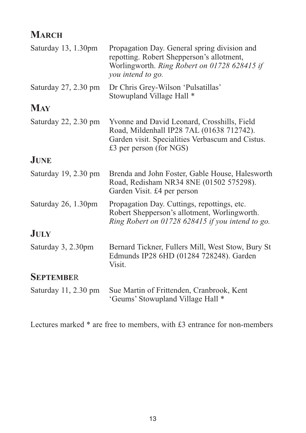### **MARCH**

| Saturday 13, 1.30pm  | Propagation Day. General spring division and<br>repotting. Robert Shepperson's allotment,<br>Worlingworth. Ring Robert on 01728 628415 if<br>you intend to go.          |
|----------------------|-------------------------------------------------------------------------------------------------------------------------------------------------------------------------|
| Saturday 27, 2.30 pm | Dr Chris Grey-Wilson 'Pulsatillas'<br>Stowupland Village Hall *                                                                                                         |
| <b>MAY</b>           |                                                                                                                                                                         |
| Saturday 22, 2.30 pm | Yvonne and David Leonard, Crosshills, Field<br>Road, Mildenhall IP28 7AL (01638 712742).<br>Garden visit. Specialities Verbascum and Cistus.<br>£3 per person (for NGS) |
| <b>JUNE</b>          |                                                                                                                                                                         |
| Saturday 19, 2.30 pm | Brenda and John Foster, Gable House, Halesworth<br>Road, Redisham NR34 8NE (01502 575298).<br>Garden Visit. £4 per person                                               |
| Saturday 26, 1.30pm  | Propagation Day. Cuttings, repottings, etc.<br>Robert Shepperson's allotment, Worlingworth.<br>Ring Robert on 01728 628415 if you intend to go.                         |
| <b>JULY</b>          |                                                                                                                                                                         |
| Saturday 3, 2.30pm   | Bernard Tickner, Fullers Mill, West Stow, Bury St<br>Edmunds IP28 6HD (01284 728248). Garden<br>Visit.                                                                  |
| <b>SEPTEMBER</b>     |                                                                                                                                                                         |
| Saturday 11, 2.30 pm | Sue Martin of Frittenden, Cranbrook, Kent<br>'Geums' Stowupland Village Hall *                                                                                          |

Lectures marked \* are free to members, with £3 entrance for non-members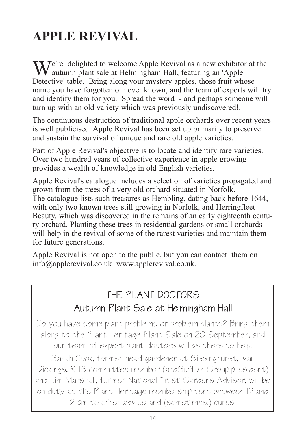### **APPLE REVIVAL**

We're delighted to welcome Apple Revival as a new exhibitor at the autumn plant sale at Helmingham Hall, featuring an 'Apple Detective' table. Bring along your mystery apples, those fruit whose name you have forgotten or never known, and the team of experts will try and identify them for you. Spread the word - and perhaps someone will turn up with an old variety which was previously undiscovered!.

The continuous destruction of traditional apple orchards over recent years is well publicised. Apple Revival has been set up primarily to preserve and sustain the survival of unique and rare old apple varieties.

Part of Apple Revival's objective is to locate and identify rare varieties. Over two hundred years of collective experience in apple growing provides a wealth of knowledge in old English varieties.

Apple Revival's catalogue includes a selection of varieties propagated and grown from the trees of a very old orchard situated in Norfolk. The catalogue lists such treasures as Hembling, dating back before 1644, with only two known trees still growing in Norfolk, and Herringfleet Beauty, which was discovered in the remains of an early eighteenth century orchard. Planting these trees in residential gardens or small orchards will help in the revival of some of the rarest varieties and maintain them for future generations.

Apple Revival is not open to the public, but you can contact them on info@applerevival.co.uk www.applerevival.co.uk.

### THE PLANT DOCTORS Autumn Plant Sale at Helmingham Hall

Do you have some plant problems or problem plants? Bring them along to the Plant Heritage Plant Sale on 20 September, and our team of expert plant doctors will be there to help.

Sarah Cook, former head gardener at Sissinghurst, Ivan Dickings, RHS committee member (andSuffolk Group president) and Jim Marshall, former National Trust Gardens Advisor, will be on duty at the Plant Heritage membership tent between 12 and 2 pm to offer advice and (sometimes!) cures.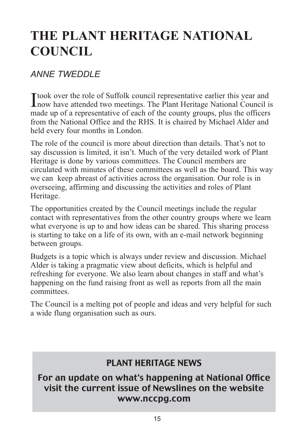### **THE PLANT HERITAGE NATIONAL COUNCIL**

### *ANNE TWEDDLE*

Itook over the role of Suffolk council representative earlier this year and<br>now have attended two meetings. The Plant Heritage National Council **L** now have attended two meetings. The Plant Heritage National Council is made up of a representative of each of the county groups, plus the officers from the National Office and the RHS. It is chaired by Michael Alder and held every four months in London.

The role of the council is more about direction than details. That's not to say discussion is limited, it isn't. Much of the very detailed work of Plant Heritage is done by various committees. The Council members are circulated with minutes of these committees as well as the board. This way we can keep abreast of activities across the organisation. Our role is in overseeing, affirming and discussing the activities and roles of Plant Heritage.

The opportunities created by the Council meetings include the regular contact with representatives from the other country groups where we learn what everyone is up to and how ideas can be shared. This sharing process is starting to take on a life of its own, with an e-mail network beginning between groups.

Budgets is a topic which is always under review and discussion. Michael Alder is taking a pragmatic view about deficits, which is helpful and refreshing for everyone. We also learn about changes in staff and what's happening on the fund raising front as well as reports from all the main committees.

The Council is a melting pot of people and ideas and very helpful for such a wide flung organisation such as ours.

### PLANT HERITAGE NEWS

### For an update on what's happening at National Office visit the current issue of Newslines on the website www.nccpg.com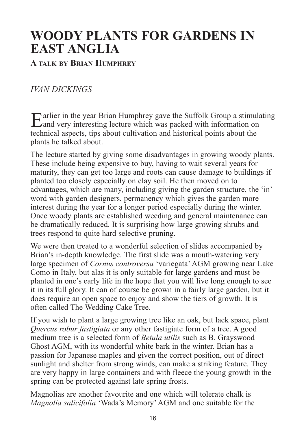### **WOODY PLANTS FOR GARDENS IN EAST ANGLIA**

#### **A TALK BY BRIAN HUMPHREY**

### *IVAN DICKINGS*

Earlier in the year Brian Humphrey gave the Suffolk Group a stimulating and very interesting lecture which was packed with information on technical aspects, tips about cultivation and historical points about the plants he talked about.

The lecture started by giving some disadvantages in growing woody plants. These include being expensive to buy, having to wait several years for maturity, they can get too large and roots can cause damage to buildings if planted too closely especially on clay soil. He then moved on to advantages, which are many, including giving the garden structure, the 'in' word with garden designers, permanency which gives the garden more interest during the year for a longer period especially during the winter. Once woody plants are established weeding and general maintenance can be dramatically reduced. It is surprising how large growing shrubs and trees respond to quite hard selective pruning.

We were then treated to a wonderful selection of slides accompanied by Brian's in-depth knowledge. The first slide was a mouth-watering very large specimen of *Cornus controversa* 'variegata' AGM growing near Lake Como in Italy, but alas it is only suitable for large gardens and must be planted in one's early life in the hope that you will live long enough to see it in its full glory. It can of course be grown in a fairly large garden, but it does require an open space to enjoy and show the tiers of growth. It is often called The Wedding Cake Tree.

If you wish to plant a large growing tree like an oak, but lack space, plant *Quercus robur fastigiata* or any other fastigiate form of a tree. A good medium tree is a selected form of *Betula utilis* such as B. Grayswood Ghost AGM, with its wonderful white bark in the winter. Brian has a passion for Japanese maples and given the correct position, out of direct sunlight and shelter from strong winds, can make a striking feature. They are very happy in large containers and with fleece the young growth in the spring can be protected against late spring frosts.

Magnolias are another favourite and one which will tolerate chalk is *Magnolia salicifolia* 'Wada's Memory' AGM and one suitable for the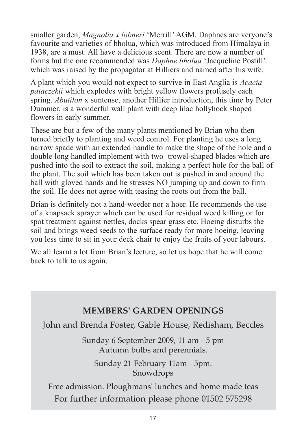smaller garden, *Magnolia x lobneri* 'Merrill' AGM. Daphnes are veryone's favourite and varieties of bholua, which was introduced from Himalaya in 1938, are a must. All have a delicious scent. There are now a number of forms but the one recommended was *Daphne bholua* 'Jacqueline Postill' which was raised by the propagator at Hilliers and named after his wife.

A plant which you would not expect to survive in East Anglia is *Acacia pataczekii* which explodes with bright yellow flowers profusely each spring. *Abutilon* x suntense, another Hillier introduction, this time by Peter Dummer, is a wonderful wall plant with deep lilac hollyhock shaped flowers in early summer.

These are but a few of the many plants mentioned by Brian who then turned briefly to planting and weed control. For planting he uses a long narrow spade with an extended handle to make the shape of the hole and a double long handled implement with two trowel-shaped blades which are pushed into the soil to extract the soil, making a perfect hole for the ball of the plant. The soil which has been taken out is pushed in and around the ball with gloved hands and he stresses NO jumping up and down to firm the soil. He does not agree with teasing the roots out from the ball.

Brian is definitely not a hand-weeder nor a hoer. He recommends the use of a knapsack sprayer which can be used for residual weed killing or for spot treatment against nettles, docks spear grass etc. Hoeing disturbs the soil and brings weed seeds to the surface ready for more hoeing, leaving you less time to sit in your deck chair to enjoy the fruits of your labours.

We all learnt a lot from Brian's lecture, so let us hope that he will come back to talk to us again.

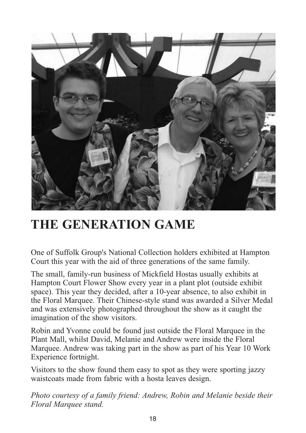

### **THE GENERATION GAME**

One of Suffolk Group's National Collection holders exhibited at Hampton Court this year with the aid of three generations of the same family.

The small, family-run business of Mickfield Hostas usually exhibits at Hampton Court Flower Show every year in a plant plot (outside exhibit space). This year they decided, after a 10-year absence, to also exhibit in the Floral Marquee. Their Chinese-style stand was awarded a Silver Medal and was extensively photographed throughout the show as it caught the imagination of the show visitors.

Robin and Yvonne could be found just outside the Floral Marquee in the Plant Mall, whilst David, Melanie and Andrew were inside the Floral Marquee. Andrew was taking part in the show as part of his Year 10 Work Experience fortnight.

Visitors to the show found them easy to spot as they were sporting jazzy waistcoats made from fabric with a hosta leaves design.

*Photo courtesy of a family friend: Andrew, Robin and Melanie beside their Floral Marquee stand.*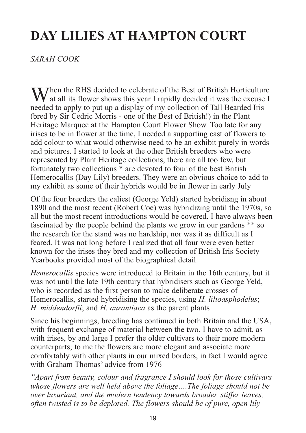### **DAY LILIES AT HAMPTON COURT**

#### *SARAH COOK*

When the RHS decided to celebrate of the Best of British Horticulture<br>at all its flower shows this year I rapidly decided it was the excuse I needed to apply to put up a display of my collection of Tall Bearded Iris (bred by Sir Cedric Morris - one of the Best of British!) in the Plant Heritage Marquee at the Hampton Court Flower Show. Too late for any irises to be in flower at the time, I needed a supporting cast of flowers to add colour to what would otherwise need to be an exhibit purely in words and pictures. I started to look at the other British breeders who were represented by Plant Heritage collections, there are all too few, but fortunately two collections \* are devoted to four of the best British Hemerocallis (Day Lily) breeders. They were an obvious choice to add to my exhibit as some of their hybrids would be in flower in early July

Of the four breeders the ealiest (George Yeld) started hybridisng in about 1890 and the most recent (Robert Coe) was hybridizing until the 1970s, so all but the most recent introductions would be covered. I have always been fascinated by the people behind the plants we grow in our gardens \*\* so the research for the stand was no hardship, nor was it as difficult as I feared. It was not long before I realized that all four were even better known for the irises they bred and my collection of British Iris Society Yearbooks provided most of the biographical detail.

*Hemerocallis* species were introduced to Britain in the 16th century, but it was not until the late 19th century that hybridisers such as George Yeld, who is recorded as the first person to make deliberate crosses of Hemerocallis, started hybridising the species, using *H. lilioasphodelus*; *H. middendorfii*; and *H. aurantiaca* as the parent plants

Since his beginnings, breeding has continued in both Britain and the USA, with frequent exchange of material between the two. I have to admit, as with irises, by and large I prefer the older cultivars to their more modern counterparts; to me the flowers are more elegant and associate more comfortably with other plants in our mixed borders, in fact I would agree with Graham Thomas' advice from 1976

*"Apart from beauty, colour and fragrance I should look for those cultivars whose flowers are well held above the foliage….The foliage should not be over luxuriant, and the modern tendency towards broader, stiffer leaves, often twisted is to be deplored. The flowers should be of pure, open lily*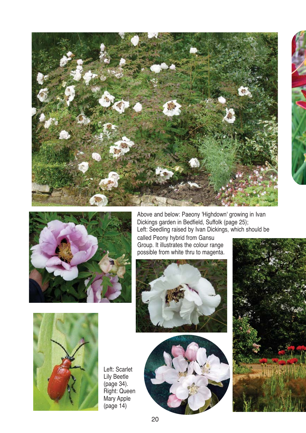



Above and below: Paeony 'Highdown' growing in Ivan Dickings garden in Bedfield, Suffolk (page 25); Left: Seedling raised by Ivan Dickings, which should be

called Peony hybrid from Gansu Group. It illustrates the colour range possible from white thru to magenta.









Left: Scarlet Lily Beetle (page 34). Right: Queen Mary Apple (page 14)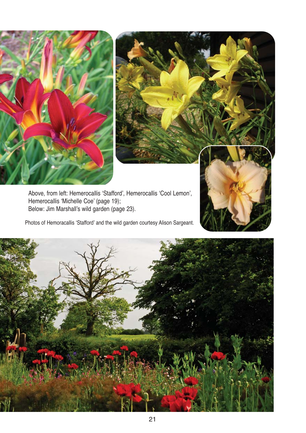



Above, from left: Hemerocallis 'Stafford', Hemerocallis 'Cool Lemon', Hemerocallis 'Michelle Coe' (page 19); Below: Jim Marshall's wild garden (page 23).

Photos of Hemoracallis 'Stafford' and the wild garden courtesy Alison Sargeant.

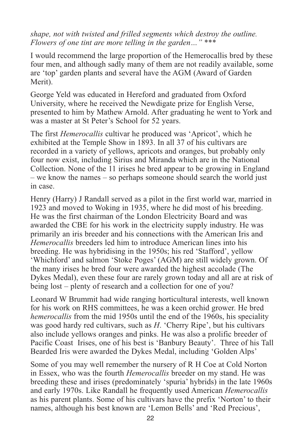*shape, not with twisted and frilled segments which destroy the outline. Flowers of one tint are more telling in the garden…"* \*\*\*

I would recommend the large proportion of the Hemerocallis bred by these four men, and although sadly many of them are not readily available, some are 'top' garden plants and several have the AGM (Award of Garden Merit).

George Yeld was educated in Hereford and graduated from Oxford University, where he received the Newdigate prize for English Verse, presented to him by Mathew Arnold. After graduating he went to York and was a master at St Peter's School for 52 years.

The first *Hemerocallis* cultivar he produced was 'Apricot', which he exhibited at the Temple Show in 1893. In all 37 of his cultivars are recorded in a variety of yellows, apricots and oranges, but probably only four now exist, including Sirius and Miranda which are in the National Collection. None of the 11 irises he bred appear to be growing in England – we know the names – so perhaps someone should search the world just in case.

Henry (Harry) J Randall served as a pilot in the first world war, married in 1923 and moved to Woking in 1935, where he did most of his breeding. He was the first chairman of the London Electricity Board and was awarded the CBE for his work in the electricity supply industry. He was primarily an iris breeder and his connections with the American Iris and *Hemerocallis* breeders led him to introduce American lines into his breeding. He was hybridising in the 1950s; his red 'Stafford', yellow 'Whichford' and salmon 'Stoke Poges' (AGM) are still widely grown. Of the many irises he bred four were awarded the highest accolade (The Dykes Medal), even these four are rarely grown today and all are at risk of being lost – plenty of research and a collection for one of you?

Leonard W Brummit had wide ranging horticultural interests, well known for his work on RHS committees, he was a keen orchid grower. He bred *hemerocallis* from the mid 1950s until the end of the 1960s, his speciality was good hardy red cultivars, such as *H*. 'Cherry Ripe', but his cultivars also include yellows oranges and pinks. He was also a prolific breeder of Pacific Coast Irises, one of his best is 'Banbury Beauty'. Three of his Tall Bearded Iris were awarded the Dykes Medal, including 'Golden Alps'

Some of you may well remember the nursery of R H Coe at Cold Norton in Essex, who was the fourth *Hemerocallis* breeder on my stand. He was breeding these and irises (predominately 'spuria' hybrids) in the late 1960s and early 1970s. Like Randall he frequently used American *Hemerocallis* as his parent plants. Some of his cultivars have the prefix 'Norton' to their names, although his best known are 'Lemon Bells' and 'Red Precious',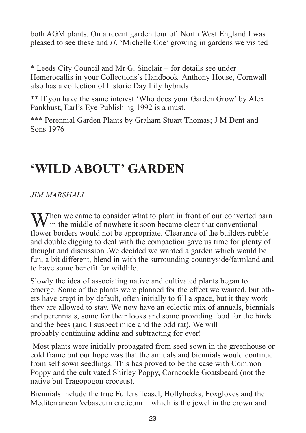both AGM plants. On a recent garden tour of North West England I was pleased to see these and *H*. 'Michelle Coe' growing in gardens we visited

\* Leeds City Council and Mr G. Sinclair – for details see under Hemerocallis in your Collections's Handbook. Anthony House, Cornwall also has a collection of historic Day Lily hybrids

\*\* If you have the same interest 'Who does your Garden Grow' by Alex Pankhust; Earl's Eye Publishing 1992 is a must.

\*\*\* Perennial Garden Plants by Graham Stuart Thomas; J M Dent and Sons 1976

### **'WILD ABOUT' GARDEN**

*JIM MARSHALL*

M/hen we came to consider what to plant in front of our converted barn If in the middle of nowhere it soon became clear that conventional flower borders would not be appropriate. Clearance of the builders rubble and double digging to deal with the compaction gave us time for plenty of thought and discussion .We decided we wanted a garden which would be fun, a bit different, blend in with the surrounding countryside/farmland and to have some benefit for wildlife.

Slowly the idea of associating native and cultivated plants began to emerge. Some of the plants were planned for the effect we wanted, but others have crept in by default, often initially to fill a space, but it they work they are allowed to stay. We now have an eclectic mix of annuals, biennials and perennials, some for their looks and some providing food for the birds and the bees (and I suspect mice and the odd rat). We will probably continuing adding and subtracting for ever!

Most plants were initially propagated from seed sown in the greenhouse or cold frame but our hope was that the annuals and biennials would continue from self sown seedlings. This has proved to be the case with Common Poppy and the cultivated Shirley Poppy, Corncockle Goatsbeard (not the native but Tragopogon croceus).

Biennials include the true Fullers Teasel, Hollyhocks, Foxgloves and the Mediterranean Vebascum creticum which is the jewel in the crown and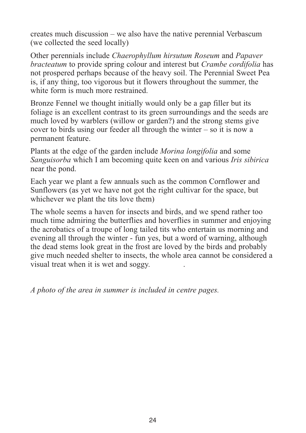creates much discussion – we also have the native perennial Verbascum (we collected the seed locally)

Other perennials include *Chaerophyllum hirsutum Roseum* and *Papaver bracteatum* to provide spring colour and interest but *Crambe cordifolia* has not prospered perhaps because of the heavy soil. The Perennial Sweet Pea is, if any thing, too vigorous but it flowers throughout the summer, the white form is much more restrained.

Bronze Fennel we thought initially would only be a gap filler but its foliage is an excellent contrast to its green surroundings and the seeds are much loved by warblers (willow or garden?) and the strong stems give cover to birds using our feeder all through the winter – so it is now a permanent feature.

Plants at the edge of the garden include *Morina longifolia* and some *Sanguisorba* which I am becoming quite keen on and various *Iris sibirica* near the pond.

Each year we plant a few annuals such as the common Cornflower and Sunflowers (as yet we have not got the right cultivar for the space, but whichever we plant the tits love them)

The whole seems a haven for insects and birds, and we spend rather too much time admiring the butterflies and hoverflies in summer and enjoying the acrobatics of a troupe of long tailed tits who entertain us morning and evening all through the winter - fun yes, but a word of warning, although the dead stems look great in the frost are loved by the birds and probably give much needed shelter to insects, the whole area cannot be considered a visual treat when it is wet and soggy. .

*A photo of the area in summer is included in centre pages.*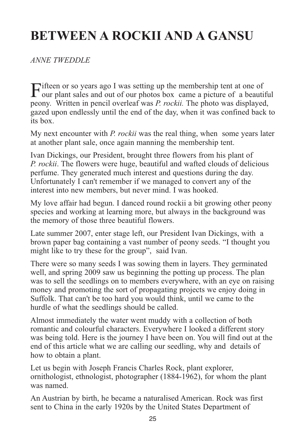### **BETWEEN A ROCKII AND A GANSU**

#### *ANNE TWEDDLE*

Fifteen or so years ago I was setting up the membership tent at one of<br>our plant sales and out of our photos box came a picture of a beautiful<br>with the product of the product of the product of the product of the product of peony. Written in pencil overleaf was *P. rockii.* The photo was displayed, gazed upon endlessly until the end of the day, when it was confined back to its box.

My next encounter with *P. rockii* was the real thing, when some years later at another plant sale, once again manning the membership tent.

Ivan Dickings, our President, brought three flowers from his plant of *P. rockii*. The flowers were huge, beautiful and wafted clouds of delicious perfume. They generated much interest and questions during the day. Unfortunately I can't remember if we managed to convert any of the interest into new members, but never mind. I was hooked.

My love affair had begun. I danced round rockii a bit growing other peony species and working at learning more, but always in the background was the memory of those three beautiful flowers.

Late summer 2007, enter stage left, our President Ivan Dickings, with a brown paper bag containing a vast number of peony seeds. "I thought you might like to try these for the group", said Ivan.

There were so many seeds I was sowing them in layers. They germinated well, and spring 2009 saw us beginning the potting up process. The plan was to sell the seedlings on to members everywhere, with an eye on raising money and promoting the sort of propagating projects we enjoy doing in Suffolk. That can't be too hard you would think, until we came to the hurdle of what the seedlings should be called.

Almost immediately the water went muddy with a collection of both romantic and colourful characters. Everywhere I looked a different story was being told. Here is the journey I have been on. You will find out at the end of this article what we are calling our seedling, why and details of how to obtain a plant.

Let us begin with Joseph Francis Charles Rock, plant explorer, ornithologist, ethnologist, photographer (1884-1962), for whom the plant was named.

An Austrian by birth, he became a naturalised American. Rock was first sent to China in the early 1920s by the United States Department of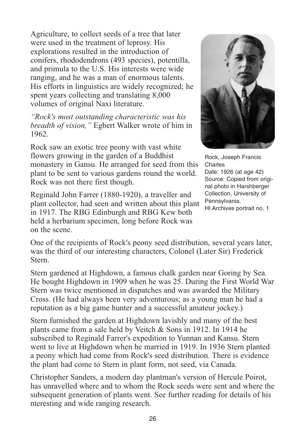Agriculture, to collect seeds of a tree that later were used in the treatment of leprosy. His explorations resulted in the introduction of conifers, rhododendrons (493 species), potentilla, and primula to the U.S. His interests were wide ranging, and he was a man of enormous talents. His efforts in linguistics are widely recognized; he spent years collecting and translating 8,000 volumes of original Naxi literature.

*"Rock's most outstanding characteristic was his breadth of vision,"* Egbert Walker wrote of him in 1962.

Rock saw an exotic tree peony with vast white flowers growing in the garden of a Buddhist monastery in Gansu. He arranged for seed from this plant to be sent to various gardens round the world. Rock was not there first though.

Reginald John Farrer (1880-1920), a traveller and plant collector, had seen and written about this plant in 1917. The RBG Edinburgh and RBG Kew both held a herbarium specimen, long before Rock was on the scene.



Rock, Joseph Francis Charles Date: 1926 (at age 42) Source: Copied from original photo in Harshberger Collection, University of Pennsylvania. HI Archives portrait no. 1

One of the recipients of Rock's peony seed distribution, several years later, was the third of our interesting characters, Colonel (Later Sir) Frederick Stern.

Stern gardened at Highdown, a famous chalk garden near Goring by Sea. He bought Highdown in 1909 when he was 25. During the First World War Stern was twice mentioned in dispatches and was awarded the Military Cross. (He had always been very adventurous; as a young man he had a reputation as a big game hunter and a successful amateur jockey.)

Stern furnished the garden at Highdown lavishly and many of the best plants came from a sale held by Veitch & Sons in 1912. In 1914 he subscribed to Reginald Farrer's expedition to Yunnan and Kansu. Stern went to live at Highdown when he married in 1919. In 1936 Stern planted a peony which had come from Rock's seed distribution. There is evidence the plant had come to Stern in plant form, not seed, via Canada.

Christopher Sanders, a modern day plantman's version of Hercule Poirot, has unravelled where and to whom the Rock seeds were sent and where the subsequent generation of plants went. See further reading for details of his nteresting and wide ranging research.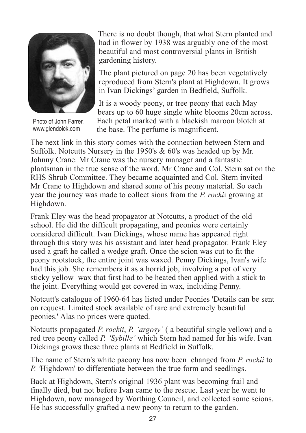

Photo of John Farrer. www.glendoick.com

There is no doubt though, that what Stern planted and had in flower by 1938 was arguably one of the most beautiful and most controversial plants in British gardening history.

The plant pictured on page 20 has been vegetatively reproduced from Stern's plant at Highdown. It grows in Ivan Dickings' garden in Bedfield, Suffolk.

It is a woody peony, or tree peony that each May bears up to 60 huge single white blooms 20cm across. Each petal marked with a blackish maroon blotch at the base. The perfume is magnificent.

The next link in this story comes with the connection between Stern and Suffolk. Notcutts Nursery in the 1950's & 60's was headed up by Mr. Johnny Crane. Mr Crane was the nursery manager and a fantastic plantsman in the true sense of the word. Mr Crane and Col. Stern sat on the RHS Shrub Committee. They became acquainted and Col. Stern invited Mr Crane to Highdown and shared some of his peony material. So each year the journey was made to collect sions from the *P. rocki*i growing at Highdown.

Frank Eley was the head propagator at Notcutts, a product of the old school. He did the difficult propagating, and peonies were certainly considered difficult. Ivan Dickings, whose name has appeared right through this story was his assistant and later head propagator. Frank Eley used a graft he called a wedge graft. Once the scion was cut to fit the peony rootstock, the entire joint was waxed. Penny Dickings, Ivan's wife had this job. She remembers it as a horrid job, involving a pot of very sticky yellow wax that first had to be heated then applied with a stick to the joint. Everything would get covered in wax, including Penny.

Notcutt's catalogue of 1960-64 has listed under Peonies 'Details can be sent on request. Limited stock available of rare and extremely beautiful peonies.' Alas no prices were quoted.

Notcutts propagated *P. rockii*, *P. 'argosy'* ( a beautiful single yellow) and a red tree peony called *P. 'Sybille'* which Stern had named for his wife. Ivan Dickings grows these three plants at Bedfield in Suffolk.

The name of Stern's white paeony has now been changed from *P. rockii* to *P. '*Highdown' to differentiate between the true form and seedlings.

Back at Highdown, Stern's original 1936 plant was becoming frail and finally died, but not before Ivan came to the rescue. Last year he went to Highdown, now managed by Worthing Council, and collected some scions. He has successfully grafted a new peony to return to the garden.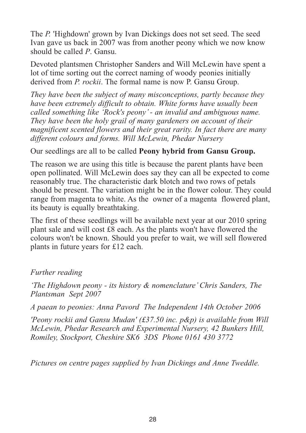The *P.* 'Highdown' grown by Ivan Dickings does not set seed. The seed Ivan gave us back in 2007 was from another peony which we now know should be called *P*. Gansu.

Devoted plantsmen Christopher Sanders and Will McLewin have spent a lot of time sorting out the correct naming of woody peonies initially derived from *P. rockii*. The formal name is now P. Gansu Group.

*They have been the subject of many misconceptions, partly because they have been extremely difficult to obtain. White forms have usually been called something like 'Rock's peony' - an invalid and ambiguous name. They have been the holy grail of many gardeners on account of their magnificent scented flowers and their great rarity. In fact there are many different colours and forms. Will McLewin, Phedar Nursery*

#### Our seedlings are all to be called **Peony hybrid from Gansu Group.**

The reason we are using this title is because the parent plants have been open pollinated. Will McLewin does say they can all be expected to come reasonably true. The characteristic dark blotch and two rows of petals should be present. The variation might be in the flower colour. They could range from magenta to white. As the owner of a magenta flowered plant, its beauty is equally breathtaking.

The first of these seedlings will be available next year at our 2010 spring plant sale and will cost £8 each. As the plants won't have flowered the colours won't be known. Should you prefer to wait, we will sell flowered plants in future years for £12 each.

#### *Further reading*

*'The Highdown peony - its history & nomenclature' Chris Sanders, The Plantsman Sept 2007*

*A paean to peonies: Anna Pavord The Independent 14th October 2006*

*'Peony rockii and Gansu Mudan' (£37.50 inc. p&p) is available from Will McLewin, Phedar Research and Experimental Nursery, 42 Bunkers Hill, Romiley, Stockport, Cheshire SK6 3DS Phone 0161 430 3772*

*Pictures on centre pages supplied by Ivan Dickings and Anne Tweddle.*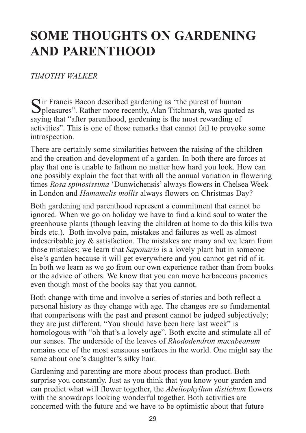### **SOME THOUGHTS ON GARDENING AND PARENTHOOD**

#### *TIMOTHY WALKER*

Sir Francis Bacon described gardening as "the purest of human Spleasures". Rather more recently, Alan Titchmarsh, was quoted as saying that "after parenthood, gardening is the most rewarding of activities". This is one of those remarks that cannot fail to provoke some introspection.

There are certainly some similarities between the raising of the children and the creation and development of a garden. In both there are forces at play that one is unable to fathom no matter how hard you look. How can one possibly explain the fact that with all the annual variation in flowering times *Rosa spinosissima* 'Dunwichensis' always flowers in Chelsea Week in London and *Hamamelis mollis* always flowers on Christmas Day?

Both gardening and parenthood represent a commitment that cannot be ignored. When we go on holiday we have to find a kind soul to water the greenhouse plants (though leaving the children at home to do this kills two birds etc.). Both involve pain, mistakes and failures as well as almost indescribable joy & satisfaction. The mistakes are many and we learn from those mistakes; we learn that *Saponaria* is a lovely plant but in someone else's garden because it will get everywhere and you cannot get rid of it. In both we learn as we go from our own experience rather than from books or the advice of others. We know that you can move herbaceous paeonies even though most of the books say that you cannot.

Both change with time and involve a series of stories and both reflect a personal history as they change with age. The changes are so fundamental that comparisons with the past and present cannot be judged subjectively; they are just different. "You should have been here last week" is homologous with "oh that's a lovely age". Both excite and stimulate all of our senses. The underside of the leaves of *Rhododendron macabeanum* remains one of the most sensuous surfaces in the world. One might say the same about one's daughter's silky hair.

Gardening and parenting are more about process than product. Both surprise you constantly. Just as you think that you know your garden and can predict what will flower together, the *Abeliophyllum distichum* flowers with the snowdrops looking wonderful together. Both activities are concerned with the future and we have to be optimistic about that future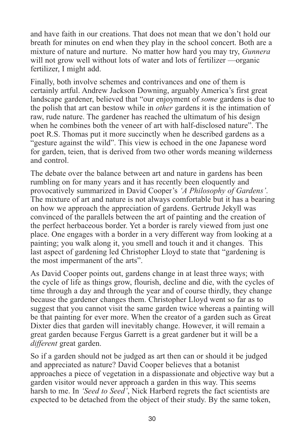and have faith in our creations. That does not mean that we don't hold our breath for minutes on end when they play in the school concert. Both are a mixture of nature and nurture. No matter how hard you may try, *Gunnera* will not grow well without lots of water and lots of fertilizer —organic fertilizer, I might add.

Finally, both involve schemes and contrivances and one of them is certainly artful. Andrew Jackson Downing, arguably America's first great landscape gardener, believed that "our enjoyment of *some* gardens is due to the polish that art can bestow while in *other* gardens it is the intimation of raw, rude nature. The gardener has reached the ultimatum of his design when he combines both the veneer of art with half-disclosed nature". The poet R.S. Thomas put it more succinctly when he described gardens as a "gesture against the wild". This view is echoed in the one Japanese word for garden, teien, that is derived from two other words meaning wilderness and control.

The debate over the balance between art and nature in gardens has been rumbling on for many years and it has recently been eloquently and provocatively summarized in David Cooper's *'A Philosophy of Gardens'*. The mixture of art and nature is not always comfortable but it has a bearing on how we approach the appreciation of gardens. Gertrude Jekyll was convinced of the parallels between the art of painting and the creation of the perfect herbaceous border. Yet a border is rarely viewed from just one place. One engages with a border in a very different way from looking at a painting; you walk along it, you smell and touch it and it changes. This last aspect of gardening led Christopher Lloyd to state that "gardening is the most impermanent of the arts".

As David Cooper points out, gardens change in at least three ways; with the cycle of life as things grow, flourish, decline and die, with the cycles of time through a day and through the year and of course thirdly, they change because the gardener changes them. Christopher Lloyd went so far as to suggest that you cannot visit the same garden twice whereas a painting will be that painting for ever more. When the creator of a garden such as Great Dixter dies that garden will inevitably change. However, it will remain a great garden because Fergus Garrett is a great gardener but it will be a *different* great garden.

So if a garden should not be judged as art then can or should it be judged and appreciated as nature? David Cooper believes that a botanist approaches a piece of vegetation in a dispassionate and objective way but a garden visitor would never approach a garden in this way. This seems harsh to me. In *'Seed to Seed'*, Nick Harberd regrets the fact scientists are expected to be detached from the object of their study. By the same token,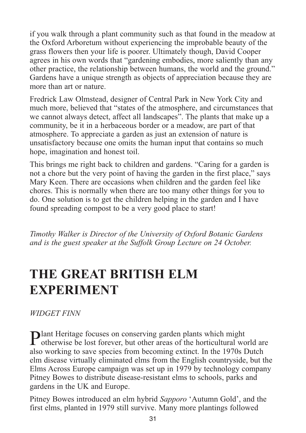if you walk through a plant community such as that found in the meadow at the Oxford Arboretum without experiencing the improbable beauty of the grass flowers then your life is poorer. Ultimately though, David Cooper agrees in his own words that "gardening embodies, more saliently than any other practice, the relationship between humans, the world and the ground." Gardens have a unique strength as objects of appreciation because they are more than art or nature.

Fredrick Law Olmstead, designer of Central Park in New York City and much more, believed that "states of the atmosphere, and circumstances that we cannot always detect, affect all landscapes". The plants that make up a community, be it in a herbaceous border or a meadow, are part of that atmosphere. To appreciate a garden as just an extension of nature is unsatisfactory because one omits the human input that contains so much hope, imagination and honest toil.

This brings me right back to children and gardens. "Caring for a garden is not a chore but the very point of having the garden in the first place," says Mary Keen. There are occasions when children and the garden feel like chores. This is normally when there are too many other things for you to do. One solution is to get the children helping in the garden and I have found spreading compost to be a very good place to start!

*Timothy Walker is Director of the University of Oxford Botanic Gardens and is the guest speaker at the Suffolk Group Lecture on 24 October.*

### **THE GREAT BRITISH ELM EXPERIMENT**

#### *WIDGET FINN*

**Plant Heritage focuses on conserving garden plants which might otherwise be lost forever, but other areas of the horticultural world are** also working to save species from becoming extinct. In the 1970s Dutch elm disease virtually eliminated elms from the English countryside, but the Elms Across Europe campaign was set up in 1979 by technology company Pitney Bowes to distribute disease-resistant elms to schools, parks and gardens in the UK and Europe.

Pitney Bowes introduced an elm hybrid *Sapporo* 'Autumn Gold', and the first elms, planted in 1979 still survive. Many more plantings followed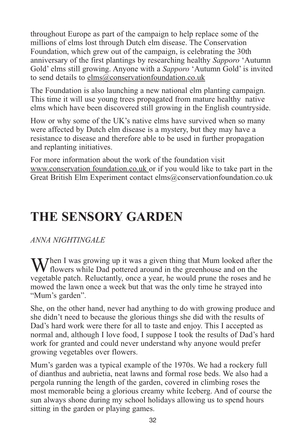throughout Europe as part of the campaign to help replace some of the millions of elms lost through Dutch elm disease. The Conservation Foundation, which grew out of the campaign, is celebrating the 30th anniversary of the first plantings by researching healthy *Sapporo* 'Autumn Gold' elms still growing. Anyone with a *Sapporo* 'Autumn Gold' is invited to send details to elms@conservationfoundation.co.uk

The Foundation is also launching a new national elm planting campaign. This time it will use young trees propagated from mature healthy native elms which have been discovered still growing in the English countryside.

How or why some of the UK's native elms have survived when so many were affected by Dutch elm disease is a mystery, but they may have a resistance to disease and therefore able to be used in further propagation and replanting initiatives.

For more information about the work of the foundation visit www.conservation foundation.co.uk or if you would like to take part in the Great British Elm Experiment contact elms@conservationfoundation.co.uk

### **THE SENSORY GARDEN**

### *ANNA NIGHTINGALE*

When I was growing up it was a given thing that Mum looked after the flowers while Dad pottered around in the greenhouse and on the vegetable patch. Reluctantly, once a year, he would prune the roses and he mowed the lawn once a week but that was the only time he strayed into "Mum's garden".

She, on the other hand, never had anything to do with growing produce and she didn't need to because the glorious things she did with the results of Dad's hard work were there for all to taste and enjoy. This I accepted as normal and, although I love food, I suppose I took the results of Dad's hard work for granted and could never understand why anyone would prefer growing vegetables over flowers.

Mum's garden was a typical example of the 1970s. We had a rockery full of dianthus and aubrietia, neat lawns and formal rose beds. We also had a pergola running the length of the garden, covered in climbing roses the most memorable being a glorious creamy white Iceberg. And of course the sun always shone during my school holidays allowing us to spend hours sitting in the garden or playing games.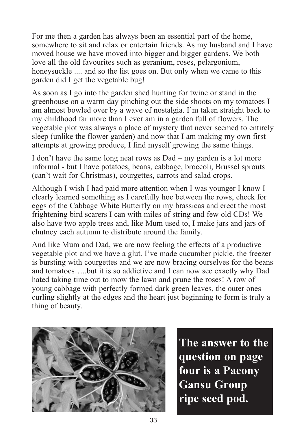For me then a garden has always been an essential part of the home, somewhere to sit and relax or entertain friends. As my husband and I have moved house we have moved into bigger and bigger gardens. We both love all the old favourites such as geranium, roses, pelargonium, honeysuckle .... and so the list goes on. But only when we came to this garden did I get the vegetable bug!

As soon as I go into the garden shed hunting for twine or stand in the greenhouse on a warm day pinching out the side shoots on my tomatoes I am almost bowled over by a wave of nostalgia. I'm taken straight back to my childhood far more than I ever am in a garden full of flowers. The vegetable plot was always a place of mystery that never seemed to entirely sleep (unlike the flower garden) and now that I am making my own first attempts at growing produce, I find myself growing the same things.

I don't have the same long neat rows as Dad – my garden is a lot more informal - but I have potatoes, beans, cabbage, broccoli, Brussel sprouts (can't wait for Christmas), courgettes, carrots and salad crops.

Although I wish I had paid more attention when I was younger I know I clearly learned something as I carefully hoe between the rows, check for eggs of the Cabbage White Butterfly on my brassicas and erect the most frightening bird scarers I can with miles of string and few old CDs! We also have two apple trees and, like Mum used to, I make jars and jars of chutney each autumn to distribute around the family.

And like Mum and Dad, we are now feeling the effects of a productive vegetable plot and we have a glut. I've made cucumber pickle, the freezer is bursting with courgettes and we are now bracing ourselves for the beans and tomatoes…..but it is so addictive and I can now see exactly why Dad hated taking time out to mow the lawn and prune the roses! A row of young cabbage with perfectly formed dark green leaves, the outer ones curling slightly at the edges and the heart just beginning to form is truly a thing of beauty.



**The answer to the question on page four is a Paeony Gansu Group ripe seed pod.**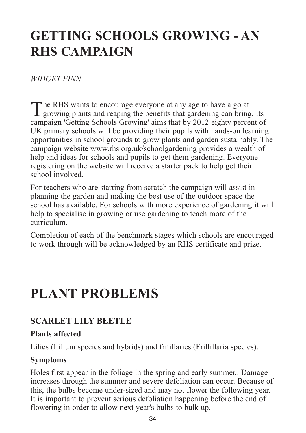### **GETTING SCHOOLS GROWING - AN RHS CAMPAIGN**

#### *WIDGET FINN*

The RHS wants to encourage everyone at any age to have a go at growing plants and reaping the benefits that gardening can bring. Its campaign 'Getting Schools Growing' aims that by 2012 eighty percent of UK primary schools will be providing their pupils with hands-on learning opportunities in school grounds to grow plants and garden sustainably. The campaign website www.rhs.org.uk/schoolgardening provides a wealth of help and ideas for schools and pupils to get them gardening. Everyone registering on the website will receive a starter pack to help get their school involved.

For teachers who are starting from scratch the campaign will assist in planning the garden and making the best use of the outdoor space the school has available. For schools with more experience of gardening it will help to specialise in growing or use gardening to teach more of the curriculum.

Completion of each of the benchmark stages which schools are encouraged to work through will be acknowledged by an RHS certificate and prize.

### **PLANT PROBLEMS**

### **SCARLET LILY BEETLE**

#### **Plants affected**

Lilies (Lilium species and hybrids) and fritillaries (Frillillaria species).

#### **Symptoms**

Holes first appear in the foliage in the spring and early summer.. Damage increases through the summer and severe defoliation can occur. Because of this, the bulbs become under-sized and may not flower the following year. It is important to prevent serious defoliation happening before the end of flowering in order to allow next year's bulbs to bulk up.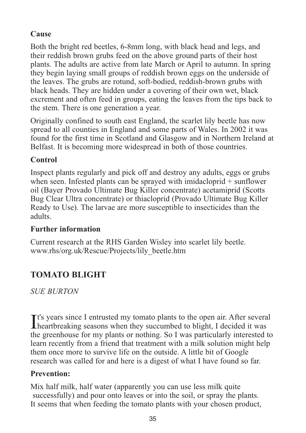#### **Cause**

Both the bright red beetles, 6-8mm long, with black head and legs, and their reddish brown grubs feed on the above ground parts of their host plants. The adults are active from late March or April to autumn. In spring they begin laying small groups of reddish brown eggs on the underside of the leaves. The grubs are rotund, soft-bodied, reddish-brown grubs with black heads. They are hidden under a covering of their own wet, black excrement and often feed in groups, eating the leaves from the tips back to the stem. There is one generation a year.

Originally confined to south east England, the scarlet lily beetle has now spread to all counties in England and some parts of Wales. In 2002 it was found for the first time in Scotland and Glasgow and in Northern Ireland at Belfast. It is becoming more widespread in both of those countries.

#### **Control**

Inspect plants regularly and pick off and destroy any adults, eggs or grubs when seen. Infested plants can be sprayed with imidacloprid + sunflower oil (Bayer Provado Ultimate Bug Killer concentrate) acetamiprid (Scotts Bug Clear Ultra concentrate) or thiacloprid (Provado Ultimate Bug Killer Ready to Use). The larvae are more susceptible to insecticides than the adults.

#### **Further information**

Current research at the RHS Garden Wisley into scarlet lily beetle. www.rhs/org.uk/Rescue/Projects/lily\_beetle.htm

### **TOMATO BLIGHT**

*SUE BURTON*

It's years since I entrusted my tomato plants to the open air. After several heartbreaking seasons when they succumbed to blight, I decided it was **T**<sup>t's</sup> years since I entrusted my tomato plants to the open air. After several the greenhouse for my plants or nothing. So I was particularly interested to learn recently from a friend that treatment with a milk solution might help them once more to survive life on the outside. A little bit of Google research was called for and here is a digest of what I have found so far.

#### **Prevention:**

Mix half milk, half water (apparently you can use less milk quite successfully) and pour onto leaves or into the soil, or spray the plants. It seems that when feeding the tomato plants with your chosen product,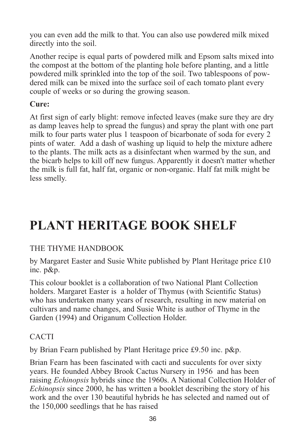you can even add the milk to that. You can also use powdered milk mixed directly into the soil.

Another recipe is equal parts of powdered milk and Epsom salts mixed into the compost at the bottom of the planting hole before planting, and a little powdered milk sprinkled into the top of the soil. Two tablespoons of powdered milk can be mixed into the surface soil of each tomato plant every couple of weeks or so during the growing season.

#### **Cure:**

At first sign of early blight: remove infected leaves (make sure they are dry as damp leaves help to spread the fungus) and spray the plant with one part milk to four parts water plus 1 teaspoon of bicarbonate of soda for every 2 pints of water. Add a dash of washing up liquid to help the mixture adhere to the plants. The milk acts as a disinfectant when warmed by the sun, and the bicarb helps to kill off new fungus. Apparently it doesn't matter whether the milk is full fat, half fat, organic or non-organic. Half fat milk might be less smelly.

### **PLANT HERITAGE BOOK SHELF**

#### THE THYME HANDBOOK

by Margaret Easter and Susie White published by Plant Heritage price £10 inc. p&p.

This colour booklet is a collaboration of two National Plant Collection holders. Margaret Easter is a holder of Thymus (with Scientific Status) who has undertaken many years of research, resulting in new material on cultivars and name changes, and Susie White is author of Thyme in the Garden (1994) and Origanum Collection Holder.

#### CACTI

by Brian Fearn published by Plant Heritage price £9.50 inc. p&p.

Brian Fearn has been fascinated with cacti and succulents for over sixty years. He founded Abbey Brook Cactus Nursery in 1956 and has been raising *Echinopsis* hybrids since the 1960s. A National Collection Holder of *Echinopsis* since 2000, he has written a booklet describing the story of his work and the over 130 beautiful hybrids he has selected and named out of the 150,000 seedlings that he has raised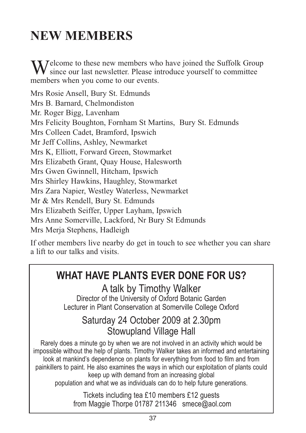### **NEW MEMBERS**

Welcome to these new members who have joined the Suffolk Group<br>since our last newsletter. Please introduce yourself to committee members when you come to our events.

Mrs Rosie Ansell, Bury St. Edmunds Mrs B. Barnard, Chelmondiston Mr. Roger Bigg, Lavenham Mrs Felicity Boughton, Fornham St Martins, Bury St. Edmunds Mrs Colleen Cadet, Bramford, Ipswich Mr Jeff Collins, Ashley, Newmarket Mrs K, Elliott, Forward Green, Stowmarket Mrs Elizabeth Grant, Quay House, Halesworth Mrs Gwen Gwinnell, Hitcham, Ipswich Mrs Shirley Hawkins, Haughley, Stowmarket Mrs Zara Napier, Westley Waterless, Newmarket Mr & Mrs Rendell, Bury St. Edmunds Mrs Elizabeth Seiffer, Upper Layham, Ipswich Mrs Anne Somerville, Lackford, Nr Bury St Edmunds Mrs Merja Stephens, Hadleigh

If other members live nearby do get in touch to see whether you can share a lift to our talks and visits.

### WHAT HAVE PLANTS FVFR DONE FOR US?

A talk by Timothy Walker Director of the University of Oxford Botanic Garden Lecturer in Plant Conservation at Somerville College Oxford

### Saturday 24 October 2009 at 2.30pm Stowupland Village Hall

Rarely does a minute go by when we are not involved in an activity which would be impossible without the help of plants. Timothy Walker takes an informed and entertaining look at mankind's dependence on plants for everything from food to film and from painkillers to paint. He also examines the ways in which our exploitation of plants could keep up with demand from an increasing global population and what we as individuals can do to help future generations.

> Tickets including tea £10 members £12 guests from Maggie Thorpe 01787 211346 smece@aol.com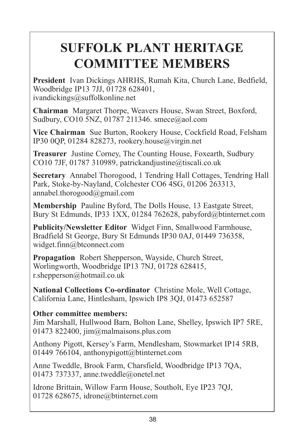### **SUFFOLK PLANT HERITAGE COMMITTEE MEMBERS**

**President** Ivan Dickings AHRHS, Rumah Kita, Church Lane, Bedfield, Woodbridge IP13 7JJ, 01728 628401, ivandickings@suffolkonline.net

**Chairman** Margaret Thorpe, Weavers House, Swan Street, Boxford, Sudbury, CO10 5NZ, 01787 211346. smece@aol.com

**Vice Chairman** Sue Burton, Rookery House, Cockfield Road, Felsham IP30 0QP, 01284 828273, rookery.house@virgin.net

**Treasurer** Justine Corney, The Counting House, Foxearth, Sudbury CO10 7JF, 01787 310989, patrickandjustine@tiscali.co.uk

**Secretary** Annabel Thorogood, 1 Tendring Hall Cottages, Tendring Hall Park, Stoke-by-Nayland, Colchester CO6 4SG, 01206 263313, annabel.thorogood@gmail.com

**Membership** Pauline Byford, The Dolls House, 13 Eastgate Street, Bury St Edmunds, IP33 1XX, 01284 762628, pabyford@btinternet.com

**Publicity/Newsletter Editor** Widget Finn, Smallwood Farmhouse, Bradfield St George, Bury St Edmunds IP30 0AJ, 01449 736358, widget.finn@btconnect.com

**Propagation** Robert Shepperson, Wayside, Church Street, Worlingworth, Woodbridge IP13 7NJ, 01728 628415, r.shepperson@hotmail.co.uk

**National Collections Co-ordinator** Christine Mole, Well Cottage, California Lane, Hintlesham, Ipswich IP8 3QJ, 01473 652587

#### **Other committee members:**

Jim Marshall, Hullwood Barn, Bolton Lane, Shelley, Ipswich IP7 5RE, 01473 822400, jim@malmaisons.plus.com

Anthony Pigott, Kersey's Farm, Mendlesham, Stowmarket IP14 5RB, 01449 766104, anthonypigott@btinternet.com

Anne Tweddle, Brook Farm, Charsfield, Woodbridge IP13 7QA, 01473 737337, anne.tweddle@onetel.net

Idrone Brittain, Willow Farm House, Southolt, Eye IP23 7QJ, 01728 628675, idrone@btinternet.com